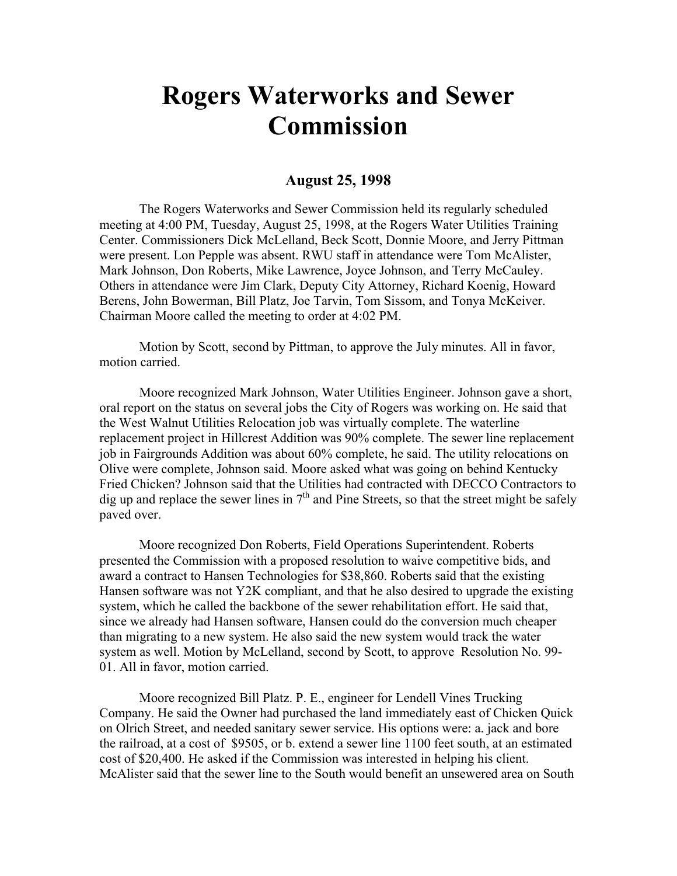## **Rogers Waterworks and Sewer Commission**

## **August 25, 1998**

The Rogers Waterworks and Sewer Commission held its regularly scheduled meeting at 4:00 PM, Tuesday, August 25, 1998, at the Rogers Water Utilities Training Center. Commissioners Dick McLelland, Beck Scott, Donnie Moore, and Jerry Pittman were present. Lon Pepple was absent. RWU staff in attendance were Tom McAlister, Mark Johnson, Don Roberts, Mike Lawrence, Joyce Johnson, and Terry McCauley. Others in attendance were Jim Clark, Deputy City Attorney, Richard Koenig, Howard Berens, John Bowerman, Bill Platz, Joe Tarvin, Tom Sissom, and Tonya McKeiver. Chairman Moore called the meeting to order at 4:02 PM.

Motion by Scott, second by Pittman, to approve the July minutes. All in favor, motion carried.

Moore recognized Mark Johnson, Water Utilities Engineer. Johnson gave a short, oral report on the status on several jobs the City of Rogers was working on. He said that the West Walnut Utilities Relocation job was virtually complete. The waterline replacement project in Hillcrest Addition was 90% complete. The sewer line replacement job in Fairgrounds Addition was about 60% complete, he said. The utility relocations on Olive were complete, Johnson said. Moore asked what was going on behind Kentucky Fried Chicken? Johnson said that the Utilities had contracted with DECCO Contractors to dig up and replace the sewer lines in  $7<sup>th</sup>$  and Pine Streets, so that the street might be safely paved over.

Moore recognized Don Roberts, Field Operations Superintendent. Roberts presented the Commission with a proposed resolution to waive competitive bids, and award a contract to Hansen Technologies for \$38,860. Roberts said that the existing Hansen software was not Y2K compliant, and that he also desired to upgrade the existing system, which he called the backbone of the sewer rehabilitation effort. He said that, since we already had Hansen software, Hansen could do the conversion much cheaper than migrating to a new system. He also said the new system would track the water system as well. Motion by McLelland, second by Scott, to approve Resolution No. 99- 01. All in favor, motion carried.

Moore recognized Bill Platz. P. E., engineer for Lendell Vines Trucking Company. He said the Owner had purchased the land immediately east of Chicken Quick on Olrich Street, and needed sanitary sewer service. His options were: a. jack and bore the railroad, at a cost of \$9505, or b. extend a sewer line 1100 feet south, at an estimated cost of \$20,400. He asked if the Commission was interested in helping his client. McAlister said that the sewer line to the South would benefit an unsewered area on South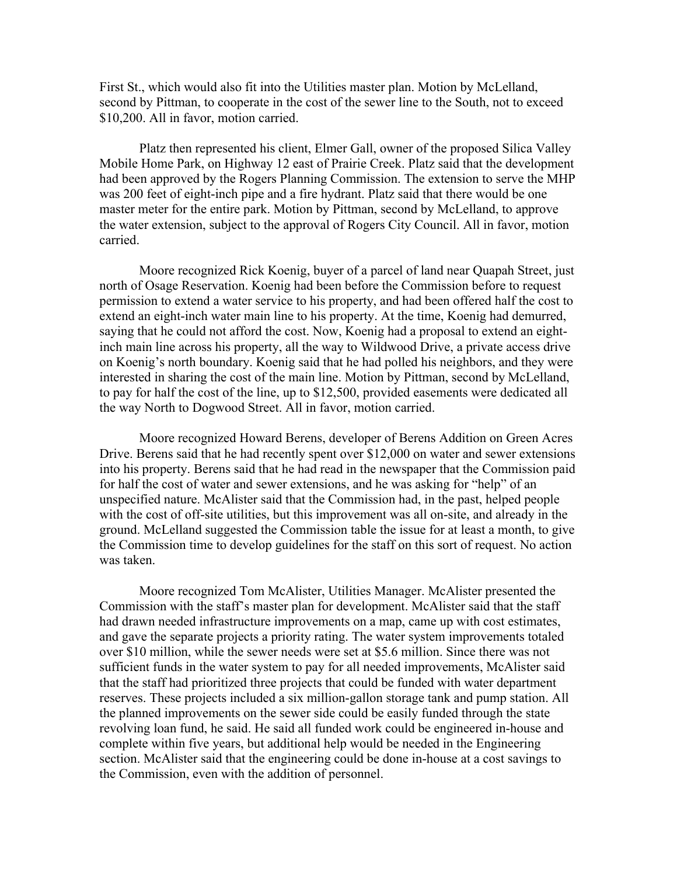First St., which would also fit into the Utilities master plan. Motion by McLelland, second by Pittman, to cooperate in the cost of the sewer line to the South, not to exceed \$10,200. All in favor, motion carried.

Platz then represented his client, Elmer Gall, owner of the proposed Silica Valley Mobile Home Park, on Highway 12 east of Prairie Creek. Platz said that the development had been approved by the Rogers Planning Commission. The extension to serve the MHP was 200 feet of eight-inch pipe and a fire hydrant. Platz said that there would be one master meter for the entire park. Motion by Pittman, second by McLelland, to approve the water extension, subject to the approval of Rogers City Council. All in favor, motion carried.

Moore recognized Rick Koenig, buyer of a parcel of land near Quapah Street, just north of Osage Reservation. Koenig had been before the Commission before to request permission to extend a water service to his property, and had been offered half the cost to extend an eight-inch water main line to his property. At the time, Koenig had demurred, saying that he could not afford the cost. Now, Koenig had a proposal to extend an eightinch main line across his property, all the way to Wildwood Drive, a private access drive on Koenig's north boundary. Koenig said that he had polled his neighbors, and they were interested in sharing the cost of the main line. Motion by Pittman, second by McLelland, to pay for half the cost of the line, up to \$12,500, provided easements were dedicated all the way North to Dogwood Street. All in favor, motion carried.

Moore recognized Howard Berens, developer of Berens Addition on Green Acres Drive. Berens said that he had recently spent over \$12,000 on water and sewer extensions into his property. Berens said that he had read in the newspaper that the Commission paid for half the cost of water and sewer extensions, and he was asking for "help" of an unspecified nature. McAlister said that the Commission had, in the past, helped people with the cost of off-site utilities, but this improvement was all on-site, and already in the ground. McLelland suggested the Commission table the issue for at least a month, to give the Commission time to develop guidelines for the staff on this sort of request. No action was taken.

Moore recognized Tom McAlister, Utilities Manager. McAlister presented the Commission with the staff's master plan for development. McAlister said that the staff had drawn needed infrastructure improvements on a map, came up with cost estimates, and gave the separate projects a priority rating. The water system improvements totaled over \$10 million, while the sewer needs were set at \$5.6 million. Since there was not sufficient funds in the water system to pay for all needed improvements, McAlister said that the staff had prioritized three projects that could be funded with water department reserves. These projects included a six million-gallon storage tank and pump station. All the planned improvements on the sewer side could be easily funded through the state revolving loan fund, he said. He said all funded work could be engineered in-house and complete within five years, but additional help would be needed in the Engineering section. McAlister said that the engineering could be done in-house at a cost savings to the Commission, even with the addition of personnel.